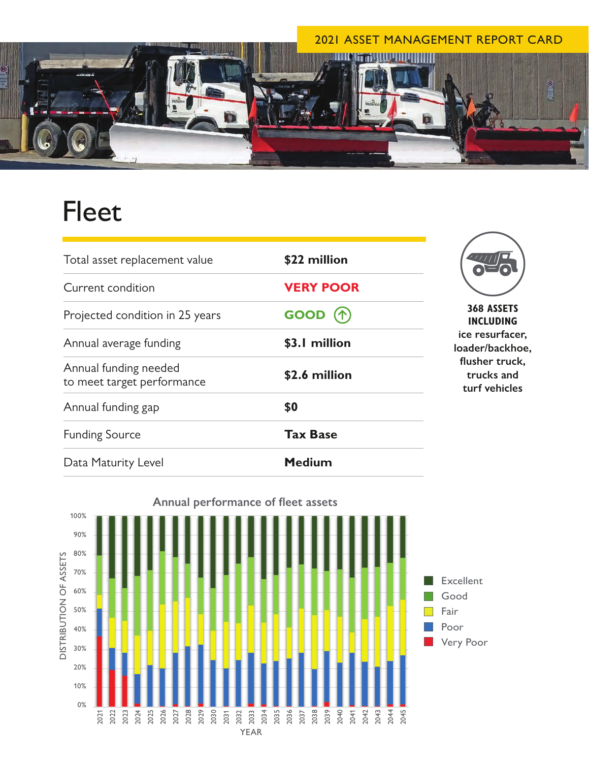

## Fleet

| Total asset replacement value                       | \$22 million     |                  |
|-----------------------------------------------------|------------------|------------------|
| Current condition                                   | <b>VERY POOR</b> |                  |
| Projected condition in 25 years                     | GOOD (个)         |                  |
| Annual average funding                              | \$3.1 million    | ice<br>load      |
| Annual funding needed<br>to meet target performance | \$2.6 million    | flu:<br>tı<br>tu |
| Annual funding gap                                  | \$0              |                  |
| <b>Funding Source</b>                               | <b>Tax Base</b>  |                  |
| Data Maturity Level                                 | <b>Medium</b>    |                  |



**368 ASSETS INCLUDING**  resurfacer, **loader/backhoe,**  sher truck, **trucks and turf vehicles**